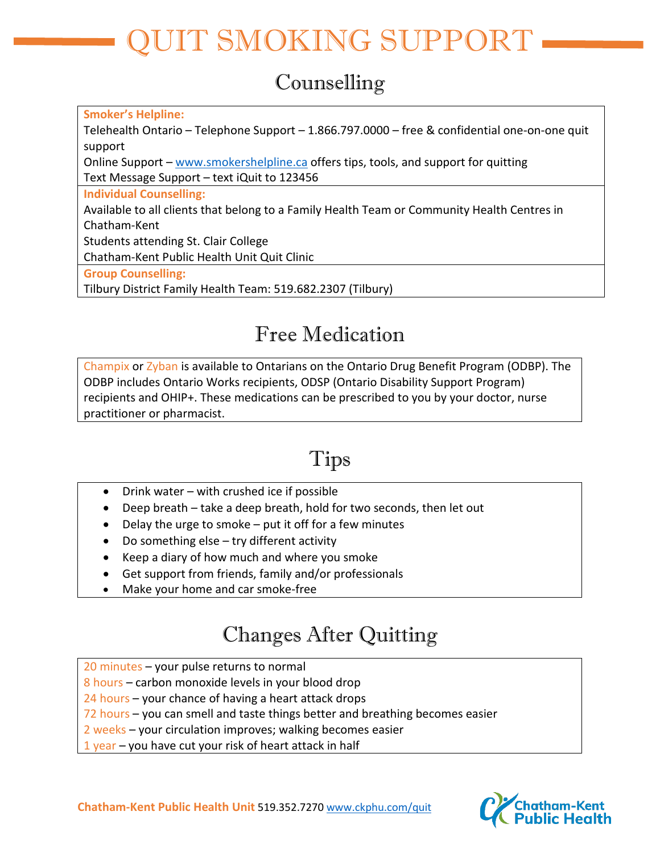# IT SMOKING SUPPORT

#### Counselling

**Smoker's Helpline:**

Telehealth Ontario – Telephone Support – 1.866.797.0000 – free & confidential one-on-one quit support

Online Support – [www.smokershelpline.ca](http://www.smokershelpline.ca/) offers tips, tools, and support for quitting Text Message Support – text iQuit to 123456

**Individual Counselling:**

Available to all clients that belong to a Family Health Team or Community Health Centres in Chatham-Kent

Students attending St. Clair College

Chatham-Kent Public Health Unit Quit Clinic

**Group Counselling:**

Tilbury District Family Health Team: 519.682.2307 (Tilbury)

### Free Medication

Champix or Zyban is available to Ontarians on the Ontario Drug Benefit Program (ODBP). The ODBP includes Ontario Works recipients, ODSP (Ontario Disability Support Program) recipients and OHIP+. These medications can be prescribed to you by your doctor, nurse practitioner or pharmacist.

## Tips

- Drink water with crushed ice if possible
- Deep breath take a deep breath, hold for two seconds, then let out
- Delay the urge to smoke put it off for a few minutes
- Do something else try different activity
- Keep a diary of how much and where you smoke
- Get support from friends, family and/or professionals
- Make your home and car smoke-free

#### Changes After Quitting

20 minutes – your pulse returns to normal

8 hours – carbon monoxide levels in your blood drop

24 hours – your chance of having a heart attack drops

72 hours – you can smell and taste things better and breathing becomes easier

- 2 weeks your circulation improves; walking becomes easier
- 1 year you have cut your risk of heart attack in half